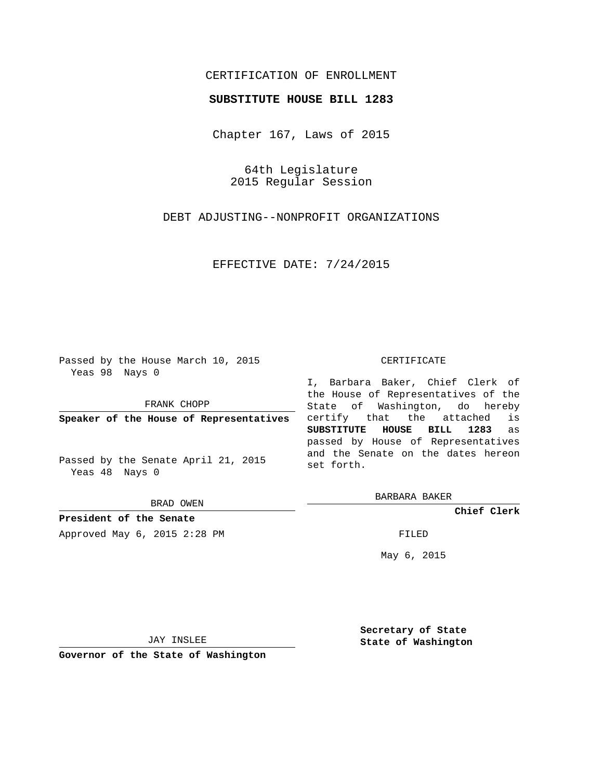## CERTIFICATION OF ENROLLMENT

## **SUBSTITUTE HOUSE BILL 1283**

Chapter 167, Laws of 2015

64th Legislature 2015 Regular Session

DEBT ADJUSTING--NONPROFIT ORGANIZATIONS

EFFECTIVE DATE: 7/24/2015

Passed by the House March 10, 2015 Yeas 98 Nays 0

FRANK CHOPP

**Speaker of the House of Representatives**

Passed by the Senate April 21, 2015 Yeas 48 Nays 0

BRAD OWEN

**President of the Senate**

Approved May 6, 2015 2:28 PM FILED

## CERTIFICATE

I, Barbara Baker, Chief Clerk of the House of Representatives of the State of Washington, do hereby certify that the attached is **SUBSTITUTE HOUSE BILL 1283** as passed by House of Representatives and the Senate on the dates hereon set forth.

BARBARA BAKER

**Chief Clerk**

May 6, 2015

JAY INSLEE

**Governor of the State of Washington**

**Secretary of State State of Washington**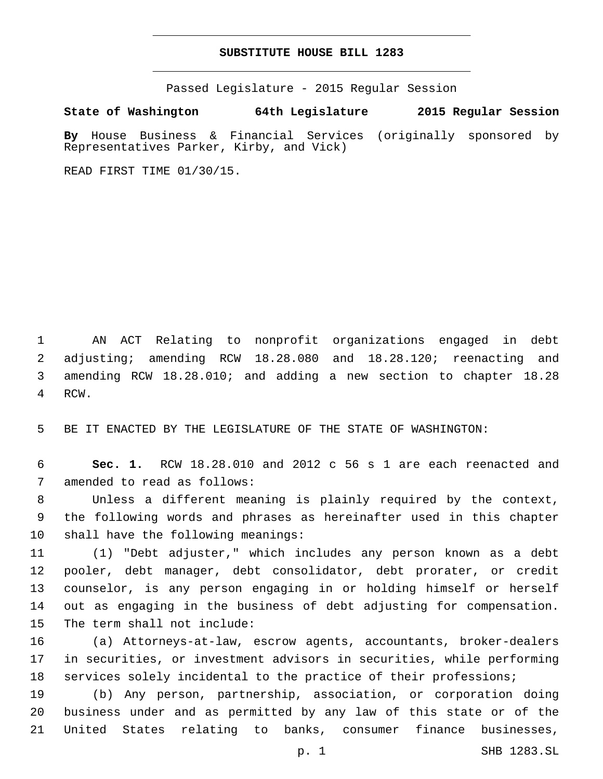## **SUBSTITUTE HOUSE BILL 1283**

Passed Legislature - 2015 Regular Session

**State of Washington 64th Legislature 2015 Regular Session**

**By** House Business & Financial Services (originally sponsored by Representatives Parker, Kirby, and Vick)

READ FIRST TIME 01/30/15.

 AN ACT Relating to nonprofit organizations engaged in debt adjusting; amending RCW 18.28.080 and 18.28.120; reenacting and amending RCW 18.28.010; and adding a new section to chapter 18.28 4 RCW.

BE IT ENACTED BY THE LEGISLATURE OF THE STATE OF WASHINGTON:

 **Sec. 1.** RCW 18.28.010 and 2012 c 56 s 1 are each reenacted and 7 amended to read as follows:

 Unless a different meaning is plainly required by the context, the following words and phrases as hereinafter used in this chapter 10 shall have the following meanings:

 (1) "Debt adjuster," which includes any person known as a debt pooler, debt manager, debt consolidator, debt prorater, or credit counselor, is any person engaging in or holding himself or herself out as engaging in the business of debt adjusting for compensation. 15 The term shall not include:

 (a) Attorneys-at-law, escrow agents, accountants, broker-dealers in securities, or investment advisors in securities, while performing services solely incidental to the practice of their professions;

 (b) Any person, partnership, association, or corporation doing business under and as permitted by any law of this state or of the United States relating to banks, consumer finance businesses,

p. 1 SHB 1283.SL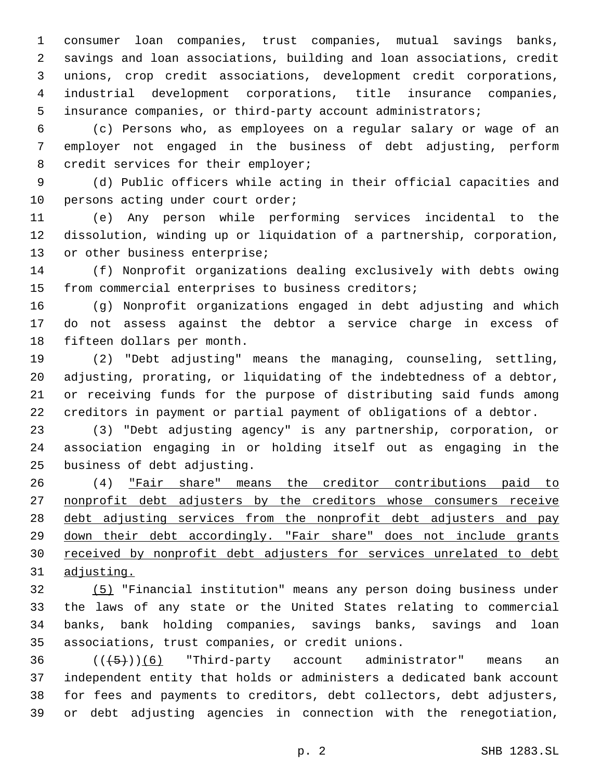consumer loan companies, trust companies, mutual savings banks, savings and loan associations, building and loan associations, credit unions, crop credit associations, development credit corporations, industrial development corporations, title insurance companies, insurance companies, or third-party account administrators;

 (c) Persons who, as employees on a regular salary or wage of an employer not engaged in the business of debt adjusting, perform 8 credit services for their employer;

 (d) Public officers while acting in their official capacities and 10 persons acting under court order;

 (e) Any person while performing services incidental to the dissolution, winding up or liquidation of a partnership, corporation, 13 or other business enterprise;

 (f) Nonprofit organizations dealing exclusively with debts owing from commercial enterprises to business creditors;

 (g) Nonprofit organizations engaged in debt adjusting and which do not assess against the debtor a service charge in excess of 18 fifteen dollars per month.

 (2) "Debt adjusting" means the managing, counseling, settling, adjusting, prorating, or liquidating of the indebtedness of a debtor, or receiving funds for the purpose of distributing said funds among creditors in payment or partial payment of obligations of a debtor.

 (3) "Debt adjusting agency" is any partnership, corporation, or association engaging in or holding itself out as engaging in the 25 business of debt adjusting.

 (4) "Fair share" means the creditor contributions paid to 27 nonprofit debt adjusters by the creditors whose consumers receive 28 debt adjusting services from the nonprofit debt adjusters and pay down their debt accordingly. "Fair share" does not include grants received by nonprofit debt adjusters for services unrelated to debt adjusting.

 (5) "Financial institution" means any person doing business under the laws of any state or the United States relating to commercial banks, bank holding companies, savings banks, savings and loan 35 associations, trust companies, or credit unions.

  $((+5+)(6)$  "Third-party account administrator" means an independent entity that holds or administers a dedicated bank account for fees and payments to creditors, debt collectors, debt adjusters, or debt adjusting agencies in connection with the renegotiation,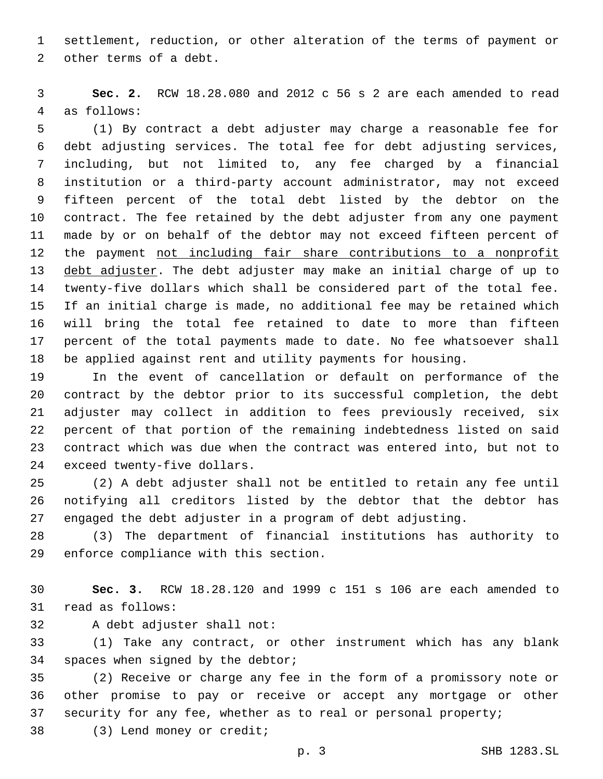settlement, reduction, or other alteration of the terms of payment or 2 other terms of a debt.

 **Sec. 2.** RCW 18.28.080 and 2012 c 56 s 2 are each amended to read 4 as follows:

 (1) By contract a debt adjuster may charge a reasonable fee for debt adjusting services. The total fee for debt adjusting services, including, but not limited to, any fee charged by a financial institution or a third-party account administrator, may not exceed fifteen percent of the total debt listed by the debtor on the contract. The fee retained by the debt adjuster from any one payment made by or on behalf of the debtor may not exceed fifteen percent of the payment not including fair share contributions to a nonprofit debt adjuster. The debt adjuster may make an initial charge of up to twenty-five dollars which shall be considered part of the total fee. If an initial charge is made, no additional fee may be retained which will bring the total fee retained to date to more than fifteen percent of the total payments made to date. No fee whatsoever shall be applied against rent and utility payments for housing.

 In the event of cancellation or default on performance of the contract by the debtor prior to its successful completion, the debt adjuster may collect in addition to fees previously received, six percent of that portion of the remaining indebtedness listed on said contract which was due when the contract was entered into, but not to 24 exceed twenty-five dollars.

 (2) A debt adjuster shall not be entitled to retain any fee until notifying all creditors listed by the debtor that the debtor has engaged the debt adjuster in a program of debt adjusting.

 (3) The department of financial institutions has authority to 29 enforce compliance with this section.

 **Sec. 3.** RCW 18.28.120 and 1999 c 151 s 106 are each amended to 31 read as follows:

32 A debt adjuster shall not:

 (1) Take any contract, or other instrument which has any blank 34 spaces when signed by the debtor;

 (2) Receive or charge any fee in the form of a promissory note or other promise to pay or receive or accept any mortgage or other security for any fee, whether as to real or personal property;

38 (3) Lend money or credit;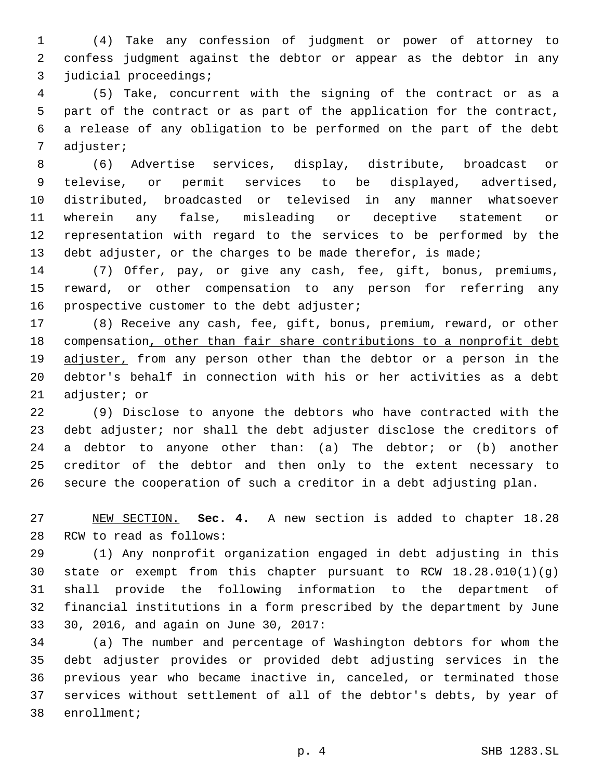(4) Take any confession of judgment or power of attorney to confess judgment against the debtor or appear as the debtor in any 3 judicial proceedings;

 (5) Take, concurrent with the signing of the contract or as a part of the contract or as part of the application for the contract, a release of any obligation to be performed on the part of the debt 7 adjuster;

 (6) Advertise services, display, distribute, broadcast or televise, or permit services to be displayed, advertised, distributed, broadcasted or televised in any manner whatsoever wherein any false, misleading or deceptive statement or representation with regard to the services to be performed by the 13 debt adjuster, or the charges to be made therefor, is made;

 (7) Offer, pay, or give any cash, fee, gift, bonus, premiums, reward, or other compensation to any person for referring any 16 prospective customer to the debt adjuster;

 (8) Receive any cash, fee, gift, bonus, premium, reward, or other compensation, other than fair share contributions to a nonprofit debt 19 adjuster, from any person other than the debtor or a person in the debtor's behalf in connection with his or her activities as a debt 21 adjuster; or

 (9) Disclose to anyone the debtors who have contracted with the debt adjuster; nor shall the debt adjuster disclose the creditors of 24 a debtor to anyone other than: (a) The debtor; or (b) another creditor of the debtor and then only to the extent necessary to secure the cooperation of such a creditor in a debt adjusting plan.

 NEW SECTION. **Sec. 4.** A new section is added to chapter 18.28 28 RCW to read as follows:

 (1) Any nonprofit organization engaged in debt adjusting in this 30 state or exempt from this chapter pursuant to RCW  $18.28.010(1)(g)$  shall provide the following information to the department of financial institutions in a form prescribed by the department by June 33 30, 2016, and again on June 30, 2017:

 (a) The number and percentage of Washington debtors for whom the debt adjuster provides or provided debt adjusting services in the previous year who became inactive in, canceled, or terminated those services without settlement of all of the debtor's debts, by year of 38 enrollment;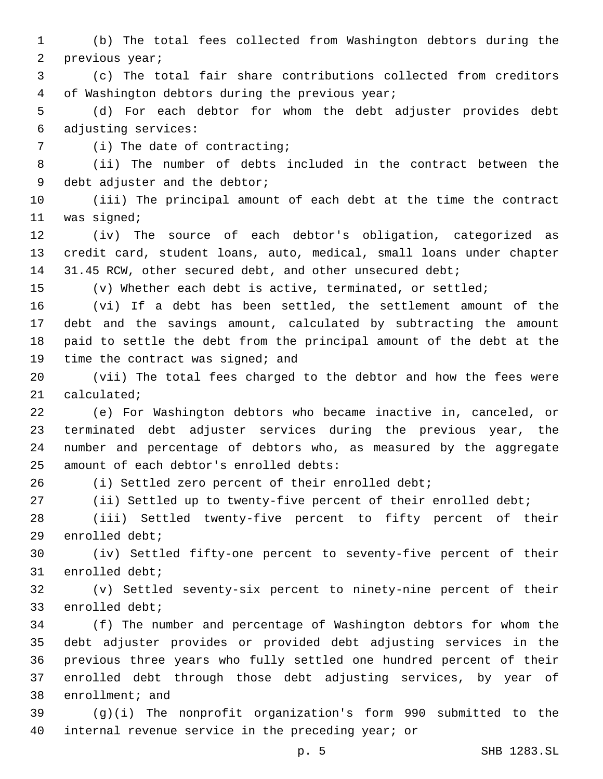(b) The total fees collected from Washington debtors during the 2 previous year;

 (c) The total fair share contributions collected from creditors 4 of Washington debtors during the previous year;

 (d) For each debtor for whom the debt adjuster provides debt adjusting services:6

7 (i) The date of contracting;

 (ii) The number of debts included in the contract between the 9 debt adjuster and the debtor;

 (iii) The principal amount of each debt at the time the contract 11 was signed;

 (iv) The source of each debtor's obligation, categorized as credit card, student loans, auto, medical, small loans under chapter 14 31.45 RCW, other secured debt, and other unsecured debt;

(v) Whether each debt is active, terminated, or settled;

 (vi) If a debt has been settled, the settlement amount of the debt and the savings amount, calculated by subtracting the amount paid to settle the debt from the principal amount of the debt at the 19 time the contract was signed; and

 (vii) The total fees charged to the debtor and how the fees were 21 calculated;

 (e) For Washington debtors who became inactive in, canceled, or terminated debt adjuster services during the previous year, the number and percentage of debtors who, as measured by the aggregate 25 amount of each debtor's enrolled debts:

(i) Settled zero percent of their enrolled debt;

(ii) Settled up to twenty-five percent of their enrolled debt;

 (iii) Settled twenty-five percent to fifty percent of their 29 enrolled debt;

 (iv) Settled fifty-one percent to seventy-five percent of their 31 enrolled debt;

 (v) Settled seventy-six percent to ninety-nine percent of their 33 enrolled debt;

 (f) The number and percentage of Washington debtors for whom the debt adjuster provides or provided debt adjusting services in the previous three years who fully settled one hundred percent of their enrolled debt through those debt adjusting services, by year of 38 enrollment; and

 (g)(i) The nonprofit organization's form 990 submitted to the internal revenue service in the preceding year; or